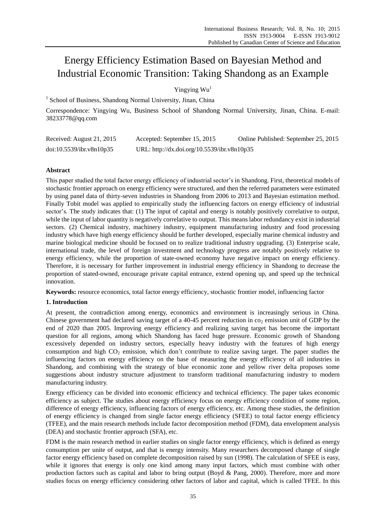# Energy Efficiency Estimation Based on Bayesian Method and Industrial Economic Transition: Taking Shandong as an Example

## Yingying  $Wu<sup>1</sup>$

<sup>1</sup> School of Business, Shandong Normal University, Jinan, China

Correspondence: Yingying Wu, Business School of Shandong Normal University, Jinan, China. E-mail: 38233778@qq.com

| Received: August 21, 2015 | Accepted: September 15, 2015                | Online Published: September 25, 2015 |
|---------------------------|---------------------------------------------|--------------------------------------|
| doi:10.5539/ibr.v8n10p35  | URL: http://dx.doi.org/10.5539/ibr.v8n10p35 |                                      |

## **Abstract**

This paper studied the total factor energy efficiency of industrial sector's in Shandong. First, theoretical models of stochastic frontier approach on energy efficiency were structured, and then the referred parameters were estimated by using panel data of thirty-seven industries in Shandong from 2006 to 2013 and Bayesian estimation method. Finally Tobit model was applied to empirically study the influencing factors on energy efficiency of industrial sector's. The study indicates that: (1) The input of capital and energy is notably positively correlative to output, while the input of labor quantity is negatively correlative to output. This means labor redundancy exist in industrial sectors. (2) Chemical industry, machinery industry, equipment manufacturing industry and food processing industry which have high energy efficiency should be further developed, especially marine chemical industry and marine biological medicine should be focused on to realize traditional industry upgrading. (3) Enterprise scale, international trade, the level of foreign investment and technology progress are notably positively relative to energy efficiency, while the proportion of state-owned economy have negative impact on energy efficiency. Therefore, it is necessary for further improvement in industrial energy efficiency in Shandong to decrease the proportion of stated-owned, encourage private capital entrance, extend opening up, and speed up the technical innovation.

**Keywords:** resource economics, total factor energy efficiency, stochastic frontier model, influencing factor

### **1. Introduction**

At present, the contradiction among energy, economics and environment is increasingly serious in China. Chinese government had declared saving target of a 40-45 percent reduction in  $\cos$  emission unit of GDP by the end of 2020 than 2005. Improving energy efficiency and realizing saving target has become the important question for all regions, among which Shandong has faced huge pressure. Economic growth of Shandong excessively depended on industry sectors, especially heavy industry with the features of high energy consumption and high  $CO<sub>2</sub>$  emission, which don't contribute to realize saving target. The paper studies the influencing factors on energy efficiency on the base of measuring the energy efficiency of all industries in Shandong, and combining with the strategy of blue economic zone and yellow river delta proposes some suggestions about industry structure adjustment to transform traditional manufacturing industry to modern manufacturing industry.

Energy efficiency can be divided into economic efficiency and technical efficiency. The paper takes economic efficiency as subject. The studies about energy efficiency focus on energy efficiency condition of some region, difference of energy efficiency, influencing factors of energy efficiency, etc. Among these studies, the definition of energy efficiency is changed from single factor energy efficiency (SFEE) to total factor energy efficiency (TFEE), and the main research methods include factor decomposition method (FDM), data envelopment analysis (DEA) and stochastic frontier approach (SFA), etc.

FDM is the main research method in earlier studies on single factor energy efficiency, which is defined as energy consumption per unite of output, and that is energy intensity. Many researchers decomposed change of single factor energy efficiency based on complete decomposition raised by sun (1998). The calculation of SFEE is easy, while it ignores that energy is only one kind among many input factors, which must combine with other production factors such as capital and labor to bring output (Boyd & Pang, 2000). Therefore, more and more studies focus on energy efficiency considering other factors of labor and capital, which is called TFEE. In this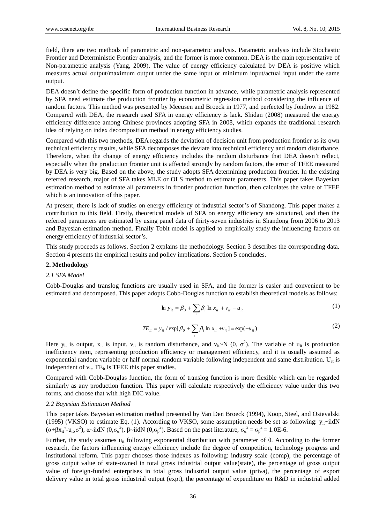field, there are two methods of parametric and non-parametric analysis. Parametric analysis include Stochastic Frontier and Deterministic Frontier analysis, and the former is more common. DEA is the main representative of Non-parametric analysis (Yang, 2009). The value of energy efficiency calculated by DEA is positive which measures actual output/maximum output under the same input or minimum input/actual input under the same output.

DEA doesn't define the specific form of production function in advance, while parametric analysis represented by SFA need estimate the production frontier by econometric regression method considering the influence of random factors. This method was presented by Meeusen and Broeck in 1977, and perfected by Jondrow in 1982. Compared with DEA, the research used SFA in energy efficiency is lack. Shidan (2008) measured the energy efficiency difference among Chinese provinces adopting SFA in 2008, which expands the traditional research idea of relying on index decomposition method in energy efficiency studies.

Compared with this two methods, DEA regards the deviation of decision unit from production frontier as its own technical efficiency results, while SFA decomposes the deviate into technical efficiency and random disturbance. Therefore, when the change of energy efficiency includes the random disturbance that DEA doesn't reflect, especially when the production frontier unit is affected strongly by random factors, the error of TFEE measured by DEA is very big. Based on the above, the study adopts SFA determining production frontier. In the existing referred research, major of SFA takes MLE or OLS method to estimate parameters. This paper takes Bayesian estimation method to estimate all parameters in frontier production function, then calculates the value of TFEE which is an innovation of this paper.

At present, there is lack of studies on energy efficiency of industrial sector's of Shandong. This paper makes a contribution to this field. Firstly, theoretical models of SFA on energy efficiency are structured, and then the referred parameters are estimated by using panel data of thirty-seven industries in Shandong from 2006 to 2013 and Bayesian estimation method. Finally Tobit model is applied to empirically study the influencing factors on energy efficiency of industrial sector's.

This study proceeds as follows. Section 2 explains the methodology. Section 3 describes the corresponding data. Section 4 presents the empirical results and policy implications. Section 5 concludes.

## **2. Methodology**

#### *2.1 SFA Model*

Cobb-Douglas and translog functions are usually used in SFA, and the former is easier and convenient to be estimated and decomposed. This paper adopts Cobb-Douglas function to establish theoretical models as follows:

$$
\ln y_{it} = \beta_0 + \sum_{i} \beta_i \ln x_{it} + v_{it} - u_{it}
$$
 (1)

$$
TE_{it} = y_{it} / \exp[\beta_0 + \sum_i \beta_i \ln x_{it} + v_{it}] = \exp(-u_{it})
$$
\n(2)

Here  $y_{it}$  is output,  $x_{it}$  is input.  $v_{it}$  is random disturbance, and  $v_{it} \sim N$  (0,  $\sigma^2$ ). The variable of  $u_{it}$  is production inefficiency item, representing production efficiency or management efficiency, and it is usually assumed as exponential random variable or half normal random variable following independent and same distribution.  $U_{it}$  is independent of  $v_{it}$ . TE<sub>it</sub> is TFEE this paper studies.

Compared with Cobb-Douglas function, the form of translog function is more flexible which can be regarded similarly as any production function. This paper will calculate respectively the efficiency value under this two forms, and choose that with high DIC value.

#### *2.2 Bayesian Estimation Method*

This paper takes Bayesian estimation method presented by Van Den Broeck (1994), Koop, Steel, and Osievalski (1995) (VKSO) to estimate Eq. (1). According to VKSO, some assumption needs be set as following:  $y_i \sim \text{iidN}$  $(\alpha + \beta x_{it})$ <sup>2</sup>-u<sub>it</sub>, $\sigma^2$ ),  $\alpha$ ~iidN  $(0, \sigma_{\alpha}^2)$ ,  $\beta$ ~iidN  $(0, \sigma_{\beta}^2)$ . Based on the past literature,  $\sigma_{\alpha}^2 = \sigma_{\beta}^2 = 1.0E$ -6.

Further, the study assumes u<sub>it</sub> following exponential distribution with parameter of θ. According to the former research, the factors influencing energy efficiency include the degree of competition, technology progress and institutional reform. This paper chooses those indexes as following: industry scale (comp), the percentage of gross output value of state-owned in total gross industrial output value(state), the percentage of gross output value of foreign-funded enterprises in total gross industrial output value (priva), the percentage of export delivery value in total gross industrial output (expt), the percentage of expenditure on R&D in industrial added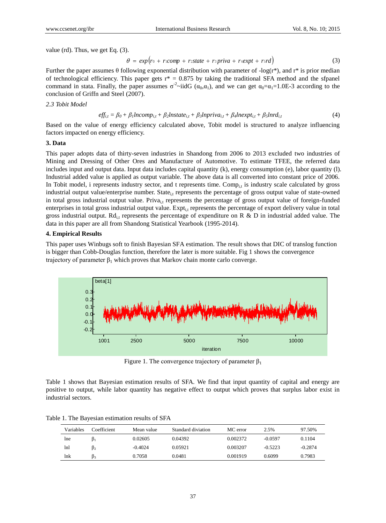value (rd). Thus, we get Eq. (3).

$$
\theta = exp(r_0 + r_1comp + r_2state + r_3 priv_a + r_4expt + r_5rd)
$$
\n(3)

Further the paper assumes  $\theta$  following exponential distribution with parameter of  $-log(r^*)$ , and  $r^*$  is prior median of technological efficiency. This paper gets  $r^* = 0.875$  by taking the traditional SFA method and the sfpanel command in stata. Finally, the paper assumes  $\sigma^2 \sim \text{iidG } (\alpha_0, \alpha_1)$ , and we can get  $\alpha_0 = \alpha_1 = 1.0E-3$  according to the conclusion of Griffn and Steel (2007).

#### *2.3 Tobit Model*

$$
eff_{i,t} = \beta_0 + \beta_1 lncomp_{i,t} + \beta_2 lnstate_{i,t} + \beta_3 lnpriva_{i,t} + \beta_4 lnexpt_{i,t} + \beta_5 lnrd_{i,t}
$$
\n(4)

Based on the value of energy efficiency calculated above, Tobit model is structured to analyze influencing factors impacted on energy efficiency.

#### **3. Data**

This paper adopts data of thirty-seven industries in Shandong from 2006 to 2013 excluded two industries of Mining and Dressing of Other Ores and Manufacture of Automotive. To estimate TFEE, the referred data includes input and output data. Input data includes capital quantity (k), energy consumption (e), labor quantity (l). Industrial added value is applied as output variable. The above data is all converted into constant price of 2006. In Tobit model, i represents industry sector, and t represents time. Comp $_{i,t}$  is industry scale calculated by gross industrial output value/enterprise number. State<sub>it</sub> represents the percentage of gross output value of state-owned in total gross industrial output value. Priva<sub>i</sub>, represents the percentage of gross output value of foreign-funded enterprises in total gross industrial output value.  $Expt_{i,t}$  represents the percentage of export delivery value in total gross industrial output.  $Rd_{i,t}$  represents the percentage of expenditure on R & D in industrial added value. The data in this paper are all from Shandong Statistical Yearbook (1995-2014).

#### **4. Empirical Results**

This paper uses Winbugs soft to finish Bayesian SFA estimation. The result shows that DIC of translog function is bigger than Cobb-Douglas function, therefore the later is more suitable. Fig 1 shows the convergence trajectory of parameter  $β_1$  which proves that Markov chain monte carlo converge.



Figure 1. The convergence trajectory of parameter  $\beta_1$ 

Table 1 shows that Bayesian estimation results of SFA. We find that input quantity of capital and energy are positive to output, while labor quantity has negative effect to output which proves that surplus labor exist in industrial sectors.

| Variables | Coefficient | Mean value | Standard diviation | MC error | 2.5%      | 97.50%    |
|-----------|-------------|------------|--------------------|----------|-----------|-----------|
| lne       | Þ1          | 0.02605    | 0.04392            | 0.002372 | $-0.0597$ | 0.1104    |
| lnl       | $\beta_2$   | $-0.4024$  | 0.05921            | 0.003207 | $-0.5223$ | $-0.2874$ |
| lnk       | $\beta_3$   | 0.7058     | 0.0481             | 0.001919 | 0.6099    | 0.7983    |

Table 1. The Bayesian estimation results of SFA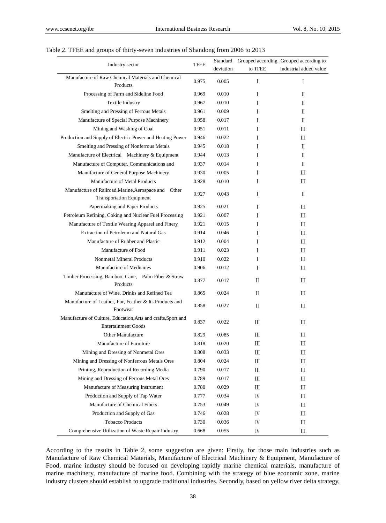| Industry sector                                                                             |       | Standard  |              | Grouped according Grouped according to |
|---------------------------------------------------------------------------------------------|-------|-----------|--------------|----------------------------------------|
|                                                                                             |       | deviation | to TFEE      | industrial added value                 |
| Manufacture of Raw Chemical Materials and Chemical<br>Products                              | 0.975 | 0.005     | I            | Ι                                      |
| Processing of Farm and Sideline Food                                                        | 0.969 | 0.010     | I            | П                                      |
| <b>Textile Industry</b>                                                                     | 0.967 | 0.010     | I            | П                                      |
| Smelting and Pressing of Ferrous Metals                                                     | 0.961 | 0.009     | I            | П                                      |
| Manufacture of Special Purpose Machinery                                                    | 0.958 | 0.017     | I            | П                                      |
| Mining and Washing of Coal                                                                  | 0.951 | 0.011     | I            | Ш                                      |
| Production and Supply of Electric Power and Heating Power                                   | 0.946 | 0.022     | I            | Ш                                      |
| Smelting and Pressing of Nonferrous Metals                                                  | 0.945 | 0.018     | I            | П                                      |
| Manufacture of Electrical Machinery & Equipment                                             | 0.944 | 0.013     | I            | П                                      |
| Manufacture of Computer, Communications and                                                 | 0.937 | 0.014     | I            | П                                      |
| Manufacture of General Purpose Machinery                                                    | 0.930 | 0.005     | I            | Ш                                      |
| Manufacture of Metal Products                                                               | 0.928 | 0.010     | I            | Ш                                      |
| Manufacture of Railroad, Marine, Aerospace and Other<br><b>Transportation Equipment</b>     | 0.927 | 0.043     | I            | П                                      |
| Papermaking and Paper Products                                                              | 0.925 | 0.021     | I            | Ш                                      |
| Petroleum Refining, Coking and Nuclear Fuel Processing                                      | 0.921 | 0.007     | I            | Ш                                      |
| Manufacture of Textile Wearing Apparel and Finery                                           | 0.921 | 0.015     | I            | Ш                                      |
| Extraction of Petroleum and Natural Gas                                                     | 0.914 | 0.046     | I            | Ш                                      |
| Manufacture of Rubber and Plastic                                                           | 0.912 | 0.004     | I            | Ш                                      |
| Manufacture of Food                                                                         | 0.911 | 0.023     | I            | Ш                                      |
| <b>Nonmetal Mineral Products</b>                                                            | 0.910 | 0.022     | I            | Ш                                      |
| Manufacture of Medicines                                                                    | 0.906 | 0.012     | I            | Ш                                      |
| Timber Processing, Bamboo, Cane, Palm Fiber & Straw<br>Products                             | 0.877 | 0.017     | $\mathbf{I}$ | Ш                                      |
| Manufacture of Wine, Drinks and Refined Tea                                                 | 0.865 | 0.024     | П            | Ш                                      |
| Manufacture of Leather, Fur, Feather & Its Products and<br>Footwear                         | 0.858 | 0.027     | $\mathbf{I}$ | Ш                                      |
| Manufacture of Culture, Education, Arts and crafts, Sport and<br><b>Entertainment Goods</b> | 0.837 | 0.022     | Ш            | Ш                                      |
| Other Manufacture                                                                           | 0.829 | 0.085     | Ш            | Ш                                      |
| Manufacture of Furniture                                                                    | 0.818 | 0.020     | Ш            | Ш                                      |
| Mining and Dressing of Nonmetal Ores                                                        | 0.808 | 0.033     | Ш            | Ш                                      |
| Mining and Dressing of Nonferrous Metals Ores                                               | 0.804 | 0.024     | Ш            | $\mathop{\mathrm{III}}\nolimits$       |
| Printing, Reproduction of Recording Media                                                   | 0.790 | 0.017     | Ш            | Ш                                      |
| Mining and Dressing of Ferrous Metal Ores                                                   | 0.789 | 0.017     | $\rm III$    | Ш                                      |
| Manufacture of Measuring Instrument                                                         | 0.780 | 0.029     | Ш            | Ш                                      |
| Production and Supply of Tap Water                                                          | 0.777 | 0.034     | $\mathbb{N}$ | $\mathop{\mathrm{III}}\nolimits$       |
| Manufacture of Chemical Fibers                                                              | 0.753 | 0.049     | IV           | Ш                                      |
| Production and Supply of Gas                                                                | 0.746 | 0.028     | IV           | Ш                                      |
| <b>Tobacco Products</b>                                                                     | 0.730 | 0.036     | ${\rm IV}$   | $\mathop{\rm III}\nolimits$            |
| Comprehensive Utilization of Waste Repair Industry                                          | 0.668 | 0.055     | ${\rm IV}$   | $III$                                  |

#### Table 2. TFEE and groups of thirty-seven industries of Shandong from 2006 to 2013

According to the results in Table 2, some suggestion are given: Firstly, for those main industries such as Manufacture of Raw Chemical Materials, Manufacture of Electrical Machinery & Equipment, Manufacture of Food, marine industry should be focused on developing rapidly marine chemical materials, manufacture of marine machinery, manufacture of marine food. Combining with the strategy of blue economic zone, marine industry clusters should establish to upgrade traditional industries. Secondly, based on yellow river delta strategy,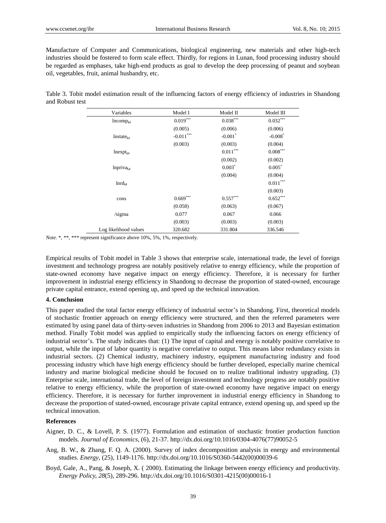Manufacture of Computer and Communications, biological engineering, new materials and other high-tech industries should be fostered to form scale effect. Thirdly, for regions in Lunan, food processing industry should be regarded as emphases, take high-end products as goal to develop the deep processing of peanut and soybean oil, vegetables, fruit, animal husbandry, etc.

Table 3. Tobit model estimation result of the influencing factors of energy efficiency of industries in Shandong and Robust test

| Variables                | Model I     | Model II               | Model III              |
|--------------------------|-------------|------------------------|------------------------|
| $lncomp_{i.t}$           | $0.019***$  | $0.038***$             | $0.032***$             |
|                          | (0.005)     | (0.006)                | (0.006)                |
| $Instate_{i,t}$          | $-0.011***$ | $-0.001$ <sup>*</sup>  | $-0.008*$              |
|                          | (0.003)     | (0.003)                | (0.004)                |
| $l$ nexpt <sub>i.t</sub> |             | $0.011^{\ast\ast\ast}$ | $0.008^{\ast\ast\ast}$ |
|                          |             | (0.002)                | (0.002)                |
| $lnpriva_{i,t}$          |             | $0.003*$               | $0.005*$               |
|                          |             | (0.004)                | (0.004)                |
| $lnrd_{i.t}$             |             |                        | $0.011***$             |
|                          |             |                        | (0.003)                |
| cons                     | $0.669***$  | $0.557^{\ast\ast\ast}$ | $0.652***$             |
|                          | (0.058)     | (0.063)                | (0.067)                |
| /sigma                   | 0.077       | 0.067                  | 0.066                  |
|                          | (0.003)     | (0.003)                | (0.003)                |
| Log likelihood values    | 320.682     | 331.804                | 336.546                |

*Note.* \*, \*\*, \*\*\* represent significance above 10%, 5%, 1%, respectively.

Empirical results of Tobit model in Table 3 shows that enterprise scale, international trade, the level of foreign investment and technology progress are notably positively relative to energy efficiency, while the proportion of state-owned economy have negative impact on energy efficiency. Therefore, it is necessary for further improvement in industrial energy efficiency in Shandong to decrease the proportion of stated-owned, encourage private capital entrance, extend opening up, and speed up the technical innovation.

#### **4. Conclusion**

This paper studied the total factor energy efficiency of industrial sector's in Shandong. First, theoretical models of stochastic frontier approach on energy efficiency were structured, and then the referred parameters were estimated by using panel data of thirty-seven industries in Shandong from 2006 to 2013 and Bayesian estimation method. Finally Tobit model was applied to empirically study the influencing factors on energy efficiency of industrial sector's. The study indicates that: (1) The input of capital and energy is notably positive correlative to output, while the input of labor quantity is negative correlative to output. This means labor redundancy exists in industrial sectors. (2) Chemical industry, machinery industry, equipment manufacturing industry and food processing industry which have high energy efficiency should be further developed, especially marine chemical industry and marine biological medicine should be focused on to realize traditional industry upgrading. (3) Enterprise scale, international trade, the level of foreign investment and technology progress are notably positive relative to energy efficiency, while the proportion of state-owned economy have negative impact on energy efficiency. Therefore, it is necessary for further improvement in industrial energy efficiency in Shandong to decrease the proportion of stated-owned, encourage private capital entrance, extend opening up, and speed up the technical innovation.

#### **References**

- Aigner, D. C., & Lovell, P. S. (1977). Formulation and estimation of stochastic frontier production function models. *Journal of Economics*, (6), 21-37. [http://dx.doi.org/10.1016/0304-4076\(77\)90052-5](http://dx.doi.org/10.1016/0304-4076(77)90052-5)
- Ang, B. W., & Zhang, F. Q. A. (2000). Survey of index decomposition analysis in energy and environmental studies. *Energy*, (25), 1149-1176. [http://dx.doi.org/10.1016/S0360-5442\(00\)00039-6](http://dx.doi.org/10.1016/S0360-5442(00)00039-6)
- Boyd, Gale, A., Pang, & Joseph, X. ( 2000). Estimating the linkage between energy efficiency and productivity. *Energy Policy, 28*(5), 289-296. [http://dx.doi.org/10.1016/S0301-4215\(00\)00016-1](http://dx.doi.org/10.1016/S0301-4215(00)00016-1)